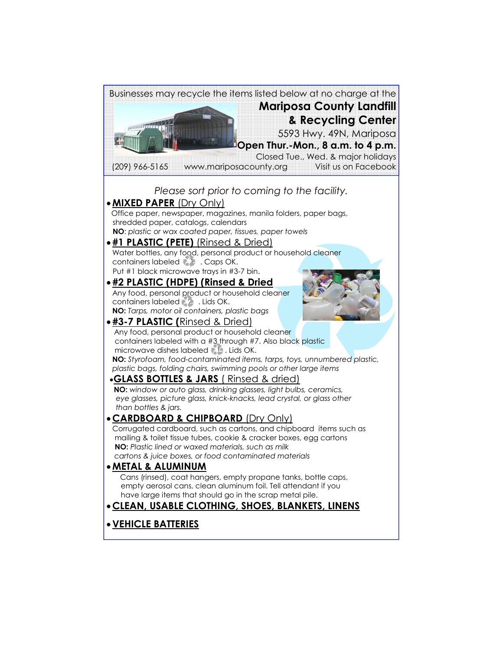